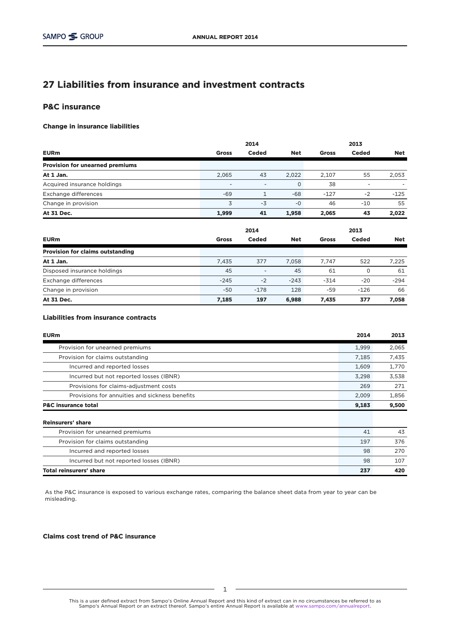# 27 Liabilities from insurance and investment contracts

# P&C insurance

### Change in insurance liabilities

|                                         |                          | 2014         |            |              | 2013         |            |
|-----------------------------------------|--------------------------|--------------|------------|--------------|--------------|------------|
| <b>EURm</b>                             | <b>Gross</b>             | <b>Ceded</b> | <b>Net</b> | <b>Gross</b> | <b>Ceded</b> | <b>Net</b> |
| <b>Provision for unearned premiums</b>  |                          |              |            |              |              |            |
| At 1 Jan.                               | 2,065                    | 43           | 2,022      | 2,107        | 55           | 2,053      |
| Acquired insurance holdings             | $\overline{\phantom{a}}$ | ۰            | $\circ$    | 38           |              |            |
| Exchange differences                    | $-69$                    | 1            | $-68$      | $-127$       | $-2$         | $-125$     |
| Change in provision                     | 3                        | $-3$         | $-0$       | 46           | $-10$        | 55         |
| At 31 Dec.                              | 1,999                    | 41           | 1,958      | 2,065        | 43           | 2,022      |
|                                         |                          | 2014         |            |              | 2013         |            |
| <b>EURm</b>                             | <b>Gross</b>             | <b>Ceded</b> | <b>Net</b> | <b>Gross</b> | <b>Ceded</b> | <b>Net</b> |
| <b>Provision for claims outstanding</b> |                          |              |            |              |              |            |
| At 1 Jan.                               | 7,435                    | 377          | 7,058      | 7,747        | 522          | 7,225      |

| Disposed insurance holdings | 45     | $\overline{\phantom{a}}$ | 45     | 61     |        | 61     |
|-----------------------------|--------|--------------------------|--------|--------|--------|--------|
| Exchange differences        | $-245$ | $-2$                     | $-243$ | $-314$ | $-20$  | $-294$ |
| Change in provision         | $-50$  | $-178$                   | 128    | -59    | $-126$ | 66     |
| At 31 Dec.                  | 7,185  | 197                      | 6,988  | 7.435  | 377    | 7,058  |

## Liabilities from insurance contracts

| <b>EURm</b>                                    | 2014  | 2013  |
|------------------------------------------------|-------|-------|
| Provision for unearned premiums                | 1,999 | 2,065 |
| Provision for claims outstanding               | 7,185 | 7,435 |
| Incurred and reported losses                   | 1,609 | 1,770 |
| Incurred but not reported losses (IBNR)        | 3.298 | 3,538 |
| Provisions for claims-adjustment costs         | 269   | 271   |
| Provisions for annuities and sickness benefits | 2,009 | 1,856 |
| <b>P&amp;C insurance total</b>                 | 9,183 | 9,500 |
| <b>Reinsurers' share</b>                       |       |       |
| Provision for unearned premiums                | 41    | 43    |
| Provision for claims outstanding               | 197   | 376   |
| Incurred and reported losses                   | 98    | 270   |

Incurred but not reported losses (IBNR) 98 107

Total reinsurers' share 237 420

As the P&C insurance is exposed to various exchange rates, comparing the balance sheet data from year to year can be misleading.

Claims cost trend of P&C insurance

This is a user defined extract from Sampo's Online Annual Report and this kind of extract can in no circumstances be referred to as<br>Sampo's Annual Report or an extract thereof. Sampo's entire Annual Report is available at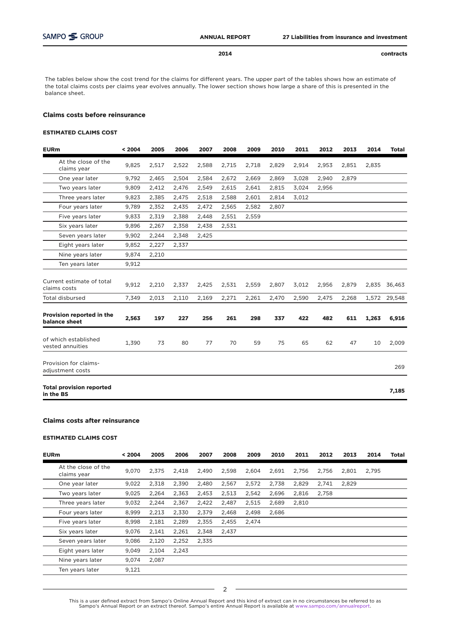2014

contracts

The tables below show the cost trend for the claims for different years. The upper part of the tables shows how an estimate of the total claims costs per claims year evolves annually. The lower section shows how large a share of this is presented in the balance sheet.

#### Claims costs before reinsurance

#### ESTIMATED CLAIMS COST

| <b>EURm</b>                                  | < 2004 | 2005  | 2006  | 2007  | 2008  | 2009  | 2010  | 2011  | 2012  | 2013  | 2014  | <b>Total</b> |
|----------------------------------------------|--------|-------|-------|-------|-------|-------|-------|-------|-------|-------|-------|--------------|
| At the close of the<br>claims year           | 9,825  | 2,517 | 2,522 | 2,588 | 2,715 | 2,718 | 2,829 | 2,914 | 2,953 | 2,851 | 2,835 |              |
| One year later                               | 9,792  | 2,465 | 2,504 | 2,584 | 2,672 | 2,669 | 2,869 | 3,028 | 2,940 | 2,879 |       |              |
| Two years later                              | 9.809  | 2,412 | 2,476 | 2,549 | 2,615 | 2,641 | 2,815 | 3,024 | 2,956 |       |       |              |
| Three years later                            | 9,823  | 2,385 | 2,475 | 2,518 | 2,588 | 2,601 | 2,814 | 3,012 |       |       |       |              |
| Four years later                             | 9,789  | 2,352 | 2,435 | 2,472 | 2,565 | 2,582 | 2,807 |       |       |       |       |              |
| Five years later                             | 9,833  | 2,319 | 2,388 | 2,448 | 2,551 | 2,559 |       |       |       |       |       |              |
| Six years later                              | 9,896  | 2,267 | 2,358 | 2,438 | 2,531 |       |       |       |       |       |       |              |
| Seven years later                            | 9,902  | 2,244 | 2,348 | 2,425 |       |       |       |       |       |       |       |              |
| Eight years later                            | 9,852  | 2,227 | 2,337 |       |       |       |       |       |       |       |       |              |
| Nine years later                             | 9,874  | 2,210 |       |       |       |       |       |       |       |       |       |              |
| Ten years later                              | 9,912  |       |       |       |       |       |       |       |       |       |       |              |
| Current estimate of total<br>claims costs    | 9,912  | 2,210 | 2,337 | 2,425 | 2,531 | 2,559 | 2,807 | 3,012 | 2,956 | 2,879 | 2,835 | 36,463       |
| <b>Total disbursed</b>                       | 7,349  | 2,013 | 2,110 | 2,169 | 2,271 | 2,261 | 2,470 | 2,590 | 2,475 | 2,268 | 1,572 | 29,548       |
| Provision reported in the<br>balance sheet   | 2,563  | 197   | 227   | 256   | 261   | 298   | 337   | 422   | 482   | 611   | 1,263 | 6,916        |
| of which established<br>vested annuities     | 1,390  | 73    | 80    | 77    | 70    | 59    | 75    | 65    | 62    | 47    | 10    | 2,009        |
| Provision for claims-<br>adjustment costs    |        |       |       |       |       |       |       |       |       |       |       | 269          |
| <b>Total provision reported</b><br>in the BS |        |       |       |       |       |       |       |       |       |       |       | 7,185        |

#### Claims costs after reinsurance

#### ESTIMATED CLAIMS COST

| <b>EURm</b> |                                    | < 2004 | 2005  | 2006  | 2007  | 2008  | 2009  | 2010  | 2011  | 2012  | 2013  | 2014  | <b>Total</b> |
|-------------|------------------------------------|--------|-------|-------|-------|-------|-------|-------|-------|-------|-------|-------|--------------|
|             | At the close of the<br>claims year | 9.070  | 2.375 | 2.418 | 2,490 | 2.598 | 2,604 | 2.691 | 2,756 | 2.756 | 2,801 | 2,795 |              |
|             | One year later                     | 9,022  | 2,318 | 2.390 | 2,480 | 2.567 | 2,572 | 2.738 | 2,829 | 2.741 | 2,829 |       |              |
|             | Two years later                    | 9,025  | 2,264 | 2,363 | 2,453 | 2,513 | 2,542 | 2.696 | 2,816 | 2,758 |       |       |              |
|             | Three years later                  | 9,032  | 2,244 | 2.367 | 2,422 | 2,487 | 2,515 | 2,689 | 2,810 |       |       |       |              |
|             | Four years later                   | 8.999  | 2.213 | 2.330 | 2.379 | 2.468 | 2.498 | 2.686 |       |       |       |       |              |
|             | Five years later                   | 8,998  | 2,181 | 2,289 | 2,355 | 2,455 | 2,474 |       |       |       |       |       |              |
|             | Six years later                    | 9.076  | 2,141 | 2,261 | 2,348 | 2,437 |       |       |       |       |       |       |              |
|             | Seven years later                  | 9,086  | 2,120 | 2,252 | 2,335 |       |       |       |       |       |       |       |              |
|             | Eight years later                  | 9,049  | 2,104 | 2,243 |       |       |       |       |       |       |       |       |              |
|             | Nine years later                   | 9,074  | 2,087 |       |       |       |       |       |       |       |       |       |              |
|             | Ten years later                    | 9,121  |       |       |       |       |       |       |       |       |       |       |              |
|             |                                    |        |       |       |       |       |       |       |       |       |       |       |              |

2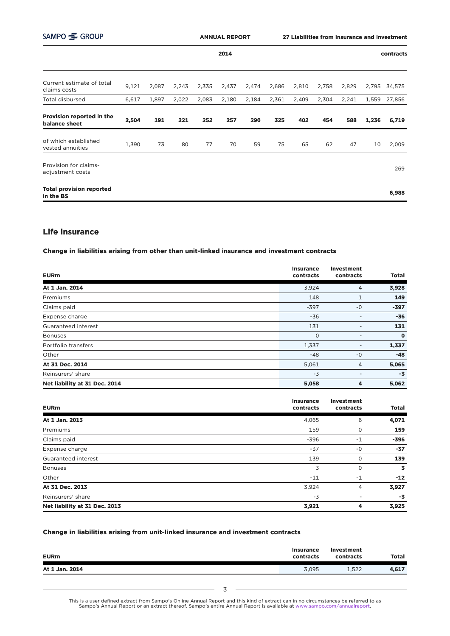| SAMPO SGROUP                                 |       |       |       |       | <b>ANNUAL REPORT</b> |       | 27 Liabilities from insurance and investment |       |       |       |       |           |
|----------------------------------------------|-------|-------|-------|-------|----------------------|-------|----------------------------------------------|-------|-------|-------|-------|-----------|
|                                              |       |       |       |       | 2014                 |       |                                              |       |       |       |       | contracts |
| Current estimate of total<br>claims costs    | 9,121 | 2,087 | 2,243 | 2,335 | 2,437                | 2,474 | 2,686                                        | 2,810 | 2,758 | 2,829 | 2,795 | 34,575    |
| <b>Total disbursed</b>                       | 6,617 | 1,897 | 2,022 | 2,083 | 2,180                | 2,184 | 2,361                                        | 2,409 | 2,304 | 2,241 | 1,559 | 27,856    |
| Provision reported in the<br>balance sheet   | 2,504 | 191   | 221   | 252   | 257                  | 290   | 325                                          | 402   | 454   | 588   | 1,236 | 6,719     |
| of which established<br>vested annuities     | 1,390 | 73    | 80    | 77    | 70                   | 59    | 75                                           | 65    | 62    | 47    | 10    | 2,009     |
| Provision for claims-<br>adjustment costs    |       |       |       |       |                      |       |                                              |       |       |       |       | 269       |
| <b>Total provision reported</b><br>in the BS |       |       |       |       |                      |       |                                              |       |       |       |       | 6,988     |

# Life insurance

Change in liabilities arising from other than unit-linked insurance and investment contracts

| <b>EURm</b>                   | <b>Insurance</b><br>contracts | <b>Investment</b><br>contracts | <b>Total</b> |
|-------------------------------|-------------------------------|--------------------------------|--------------|
| At 1 Jan. 2014                | 3,924                         | 4                              | 3,928        |
| Premiums                      | 148                           |                                | 149          |
| Claims paid                   | $-397$                        | $-0$                           | $-397$       |
| Expense charge                | $-36$                         |                                | $-36$        |
| Guaranteed interest           | 131                           |                                | 131          |
| <b>Bonuses</b>                | $\mathbf 0$                   |                                | $\mathbf{o}$ |
| Portfolio transfers           | 1,337                         |                                | 1,337        |
| Other                         | $-48$                         | $-0$                           | $-48$        |
| At 31 Dec. 2014               | 5,061                         | 4                              | 5,065        |
| Reinsurers' share             | $-3$                          |                                | $-3$         |
| Net liability at 31 Dec. 2014 | 5,058                         | 4                              | 5,062        |

| <b>EURm</b>                   | <b>Insurance</b><br>contracts | Investment<br>contracts | <b>Total</b>            |
|-------------------------------|-------------------------------|-------------------------|-------------------------|
|                               |                               |                         |                         |
| At 1 Jan. 2013                | 4,065                         | 6                       | 4,071                   |
| Premiums                      | 159                           | 0                       | 159                     |
| Claims paid                   | $-396$                        | $-1$                    | $-396$                  |
| Expense charge                | $-37$                         | $-0$                    | $-37$                   |
| Guaranteed interest           | 139                           | 0                       | 139                     |
| <b>Bonuses</b>                | 3                             | 0                       | $\overline{\mathbf{3}}$ |
| Other                         | $-11$                         | $-1$                    | $-12$                   |
| At 31 Dec. 2013               | 3,924                         | 4                       | 3,927                   |
| Reinsurers' share             | $-3$                          |                         | $-3$                    |
| Net liability at 31 Dec. 2013 | 3,921                         | 4                       | 3,925                   |

## Change in liabilities arising from unit-linked insurance and investment contracts

| <b>EURm</b>    | <b>Insurance</b><br>contracts | Investment<br>contracts | <b>Total</b> |
|----------------|-------------------------------|-------------------------|--------------|
| At 1 Jan. 2014 | 3,095                         | 1.522                   | 4,617        |

This is a user defined extract from Sampo's Online Annual Report and this kind of extract can in no circumstances be referred to as<br>Sampo's Annual Report or an extract thereof. Sampo's entire Annual Report is available at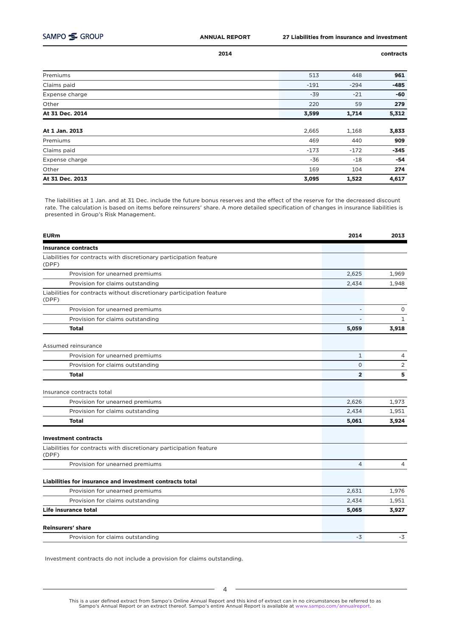2014

contracts

| Premiums        | 513    | 448    | 961    |
|-----------------|--------|--------|--------|
| Claims paid     | $-191$ | $-294$ | $-485$ |
| Expense charge  | $-39$  | $-21$  | $-60$  |
| Other           | 220    | 59     | 279    |
| At 31 Dec. 2014 | 3,599  | 1,714  | 5,312  |
|                 |        |        |        |
| At 1 Jan. 2013  | 2,665  | 1,168  | 3,833  |
| Premiums        | 469    | 440    | 909    |
| Claims paid     | $-173$ | $-172$ | $-345$ |
| Expense charge  | $-36$  | $-18$  | $-54$  |
| Other           | 169    | 104    | 274    |
| At 31 Dec. 2013 | 3,095  | 1,522  | 4,617  |

The liabilities at 1 Jan. and at 31 Dec. include the future bonus reserves and the effect of the reserve for the decreased discount rate. The calculation is based on items before reinsurers' share. A more detailed specification of changes in insurance liabilities is presented in Group's Risk Management.

| <b>EURm</b>                                                                    | 2014           | 2013           |
|--------------------------------------------------------------------------------|----------------|----------------|
| <b>Insurance contracts</b>                                                     |                |                |
| Liabilities for contracts with discretionary participation feature<br>(DPF)    |                |                |
| Provision for unearned premiums                                                | 2,625          | 1,969          |
| Provision for claims outstanding                                               | 2,434          | 1,948          |
| Liabilities for contracts without discretionary participation feature<br>(DPF) |                |                |
| Provision for unearned premiums                                                | ÷              | 0              |
| Provision for claims outstanding                                               |                | $\mathbf{1}$   |
| <b>Total</b>                                                                   | 5,059          | 3,918          |
| Assumed reinsurance                                                            |                |                |
| Provision for unearned premiums                                                | $\mathbf{1}$   | 4              |
| Provision for claims outstanding                                               | $\mathsf{O}$   | $\overline{2}$ |
| <b>Total</b>                                                                   | $\overline{2}$ | 5              |
| Insurance contracts total                                                      |                |                |
| Provision for unearned premiums                                                | 2,626          | 1,973          |
| Provision for claims outstanding                                               | 2,434          | 1,951          |
| <b>Total</b>                                                                   | 5,061          | 3,924          |
| <b>Investment contracts</b>                                                    |                |                |
| Liabilities for contracts with discretionary participation feature<br>(DPF)    |                |                |
| Provision for unearned premiums                                                | $\overline{4}$ | 4              |
| Liabilities for insurance and investment contracts total                       |                |                |
| Provision for unearned premiums                                                | 2,631          | 1,976          |
| Provision for claims outstanding                                               | 2,434          | 1,951          |
| Life insurance total                                                           | 5,065          | 3,927          |
| <b>Reinsurers' share</b>                                                       |                |                |
| Provision for claims outstanding                                               | -3             | -3             |

Investment contracts do not include a provision for claims outstanding.

This is a user defined extract from Sampo's Online Annual Report and this kind of extract can in no circumstances be referred to as<br>Sampo's Annual Report or an extract thereof. Sampo's entire Annual Report is available at